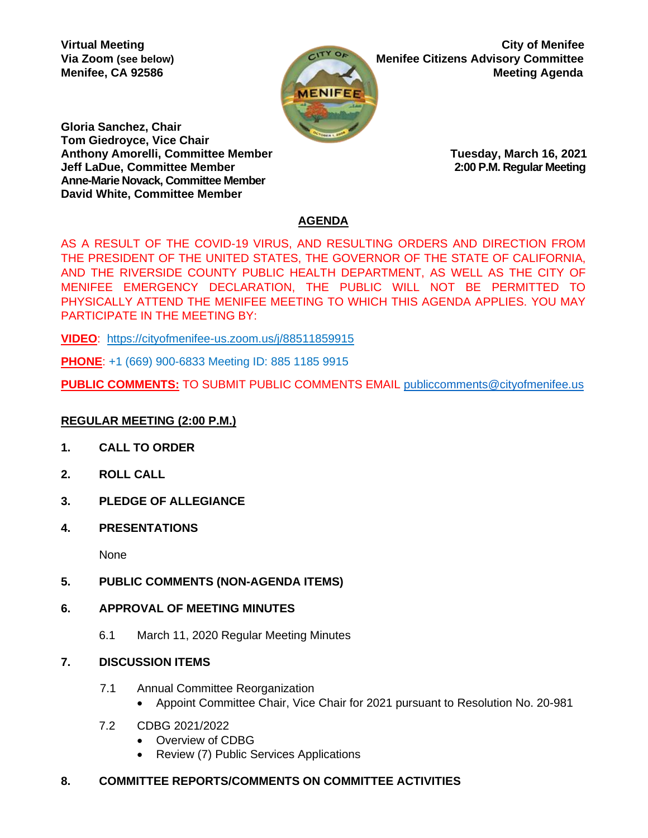

**Virtual Meeting City of Menifee Via Zoom** (see below) **Menifee Citizens Advisory Committee Menifee, CA 92586 Meeting Agenda** Meeting Agenda

**Gloria Sanchez, Chair Tom Giedroyce, Vice Chair Anthony Amorelli, Committee Member Tuesday, March 16, 2021 Jeff LaDue, Committee Member 2:00 P.M. Regular Meeting Anne-Marie Novack, Committee Member David White, Committee Member** 

# **AGENDA**

AS A RESULT OF THE COVID-19 VIRUS, AND RESULTING ORDERS AND DIRECTION FROM THE PRESIDENT OF THE UNITED STATES, THE GOVERNOR OF THE STATE OF CALIFORNIA, AND THE RIVERSIDE COUNTY PUBLIC HEALTH DEPARTMENT, AS WELL AS THE CITY OF MENIFEE EMERGENCY DECLARATION, THE PUBLIC WILL NOT BE PERMITTED TO PHYSICALLY ATTEND THE MENIFEE MEETING TO WHICH THIS AGENDA APPLIES. YOU MAY PARTICIPATE IN THE MEETING BY:

**VIDEO**: <https://cityofmenifee-us.zoom.us/j/88511859915>

**PHONE**: +1 (669) 900-6833 Meeting ID: 885 1185 9915

**PUBLIC COMMENTS:** TO SUBMIT PUBLIC COMMENTS EMAIL [publiccomments@cityofmenifee.us](mailto:publiccomments@cityofmenifee.us)

## **REGULAR MEETING (2:00 P.M.)**

- **1. CALL TO ORDER**
- **2. ROLL CALL**
- **3. PLEDGE OF ALLEGIANCE**
- **4. PRESENTATIONS**

None

- **5. PUBLIC COMMENTS (NON-AGENDA ITEMS)**
- **6. APPROVAL OF MEETING MINUTES**
	- 6.1 March 11, 2020 Regular Meeting Minutes
- **7. DISCUSSION ITEMS**
	- 7.1 Annual Committee Reorganization
		- Appoint Committee Chair, Vice Chair for 2021 pursuant to Resolution No. 20-981
	- 7.2 CDBG 2021/2022
		- Overview of CDBG
		- Review (7) Public Services Applications

## **8. COMMITTEE REPORTS/COMMENTS ON COMMITTEE ACTIVITIES**